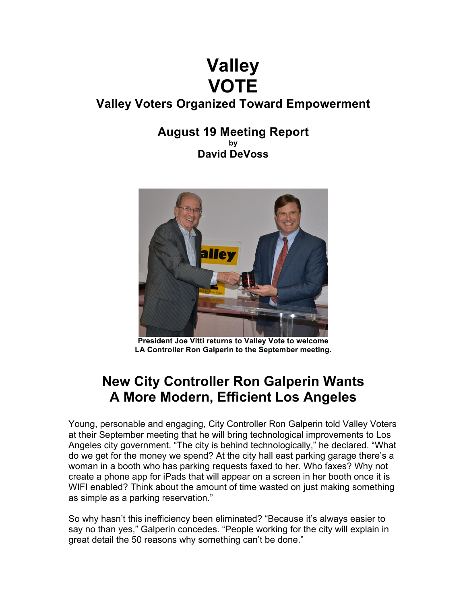# **Valley VOTE**

### **Valley Voters Organized Toward Empowerment**

### **August 19 Meeting Report by David DeVoss**



**President Joe Vitti returns to Valley Vote to welcome LA Controller Ron Galperin to the September meeting.**

## **New City Controller Ron Galperin Wants A More Modern, Efficient Los Angeles**

Young, personable and engaging, City Controller Ron Galperin told Valley Voters at their September meeting that he will bring technological improvements to Los Angeles city government. "The city is behind technologically," he declared. "What do we get for the money we spend? At the city hall east parking garage there's a woman in a booth who has parking requests faxed to her. Who faxes? Why not create a phone app for iPads that will appear on a screen in her booth once it is WIFI enabled? Think about the amount of time wasted on just making something as simple as a parking reservation."

So why hasn't this inefficiency been eliminated? "Because it's always easier to say no than yes," Galperin concedes. "People working for the city will explain in great detail the 50 reasons why something can't be done."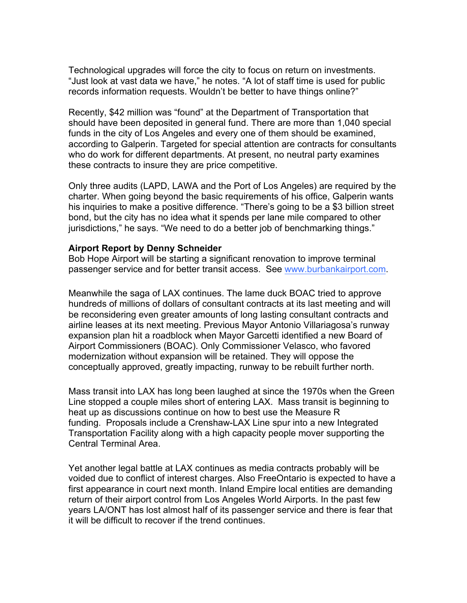Technological upgrades will force the city to focus on return on investments. "Just look at vast data we have," he notes. "A lot of staff time is used for public records information requests. Wouldn't be better to have things online?"

Recently, \$42 million was "found" at the Department of Transportation that should have been deposited in general fund. There are more than 1,040 special funds in the city of Los Angeles and every one of them should be examined, according to Galperin. Targeted for special attention are contracts for consultants who do work for different departments. At present, no neutral party examines these contracts to insure they are price competitive.

Only three audits (LAPD, LAWA and the Port of Los Angeles) are required by the charter. When going beyond the basic requirements of his office, Galperin wants his inquiries to make a positive difference. "There's going to be a \$3 billion street bond, but the city has no idea what it spends per lane mile compared to other jurisdictions," he says. "We need to do a better job of benchmarking things."

### **Airport Report by Denny Schneider**

Bob Hope Airport will be starting a significant renovation to improve terminal passenger service and for better transit access. See www.burbankairport.com.

Meanwhile the saga of LAX continues. The lame duck BOAC tried to approve hundreds of millions of dollars of consultant contracts at its last meeting and will be reconsidering even greater amounts of long lasting consultant contracts and airline leases at its next meeting. Previous Mayor Antonio Villariagosa's runway expansion plan hit a roadblock when Mayor Garcetti identified a new Board of Airport Commissioners (BOAC). Only Commissioner Velasco, who favored modernization without expansion will be retained. They will oppose the conceptually approved, greatly impacting, runway to be rebuilt further north.

Mass transit into LAX has long been laughed at since the 1970s when the Green Line stopped a couple miles short of entering LAX. Mass transit is beginning to heat up as discussions continue on how to best use the Measure R funding. Proposals include a Crenshaw-LAX Line spur into a new Integrated Transportation Facility along with a high capacity people mover supporting the Central Terminal Area.

Yet another legal battle at LAX continues as media contracts probably will be voided due to conflict of interest charges. Also FreeOntario is expected to have a first appearance in court next month. Inland Empire local entities are demanding return of their airport control from Los Angeles World Airports. In the past few years LA/ONT has lost almost half of its passenger service and there is fear that it will be difficult to recover if the trend continues.